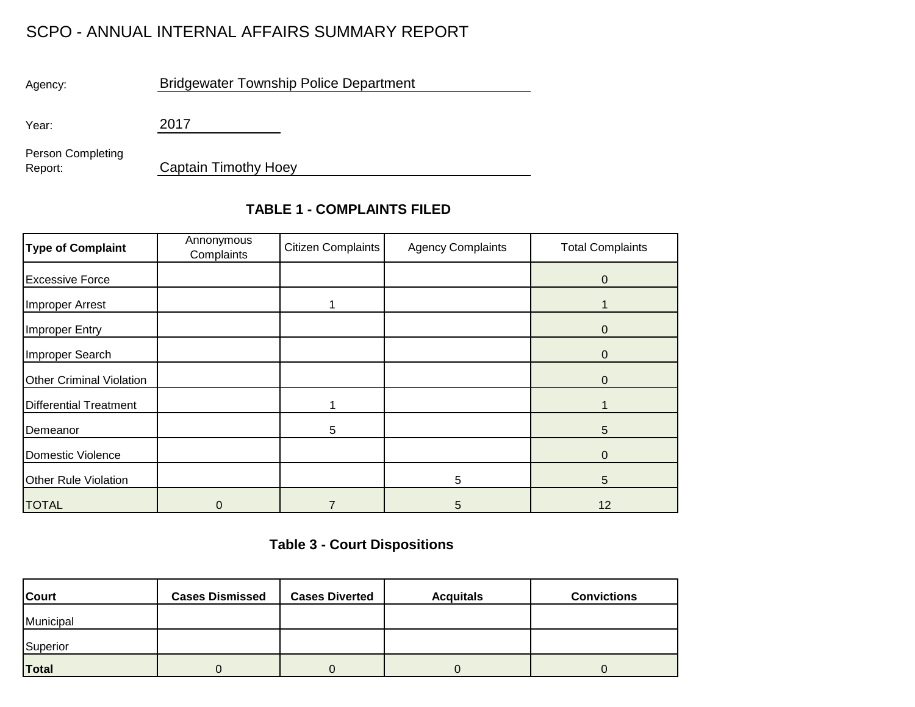## SCPO - ANNUAL INTERNAL AFFAIRS SUMMARY REPORT

Agency:

Bridgewater Township Police Department

Year:

2017

Person Completing Report:

Captain Timothy Hoey

## **TABLE 1 - COMPLAINTS FILED**

| <b>Type of Complaint</b>        | Annonymous<br>Complaints | Citizen Complaints | <b>Agency Complaints</b> | <b>Total Complaints</b> |  |
|---------------------------------|--------------------------|--------------------|--------------------------|-------------------------|--|
| <b>Excessive Force</b>          |                          |                    |                          | 0                       |  |
| Improper Arrest                 |                          |                    |                          |                         |  |
| <b>Improper Entry</b>           |                          |                    |                          | 0                       |  |
| Improper Search                 |                          |                    |                          | 0                       |  |
| <b>Other Criminal Violation</b> |                          |                    |                          | $\overline{0}$          |  |
| <b>Differential Treatment</b>   |                          |                    |                          |                         |  |
| Demeanor                        |                          | 5                  |                          | 5                       |  |
| <b>Domestic Violence</b>        |                          |                    |                          | $\Omega$                |  |
| <b>Other Rule Violation</b>     |                          |                    | 5                        | 5                       |  |
| <b>TOTAL</b>                    | 0                        |                    | 5                        | 12                      |  |

## **Table 3 - Court Dispositions**

| <b>Court</b> | <b>Cases Dismissed</b> | <b>Cases Diverted</b> | <b>Acquitals</b> | <b>Convictions</b> |
|--------------|------------------------|-----------------------|------------------|--------------------|
| Municipal    |                        |                       |                  |                    |
| Superior     |                        |                       |                  |                    |
| <b>Total</b> |                        |                       |                  |                    |